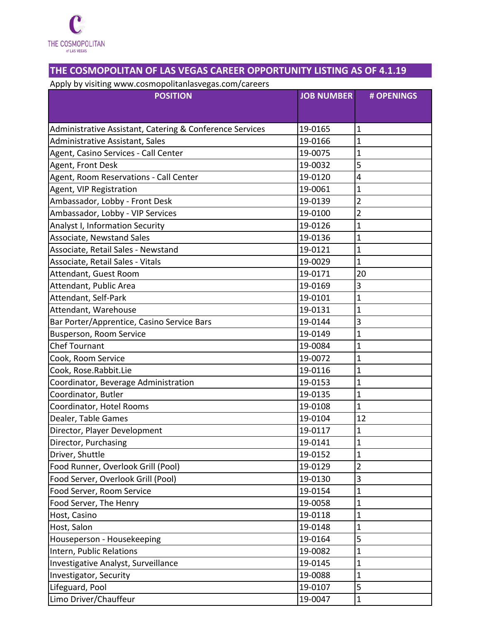

## **THE COSMOPOLITAN OF LAS VEGAS CAREER OPPORTUNITY LISTING AS OF 4.1.19**

Apply by visiting www.cosmopolitanlasvegas.com/careers

| .<br><b>POSITION</b>                                     | <b>JOB NUMBER</b> | # OPENINGS              |
|----------------------------------------------------------|-------------------|-------------------------|
|                                                          |                   |                         |
|                                                          |                   |                         |
| Administrative Assistant, Catering & Conference Services | 19-0165           | $\mathbf{1}$            |
| Administrative Assistant, Sales                          | 19-0166           | $\mathbf{1}$            |
| Agent, Casino Services - Call Center                     | 19-0075           | $\mathbf{1}$            |
| Agent, Front Desk                                        | 19-0032           | 5                       |
| Agent, Room Reservations - Call Center                   | 19-0120           | $\overline{\mathbf{4}}$ |
| Agent, VIP Registration                                  | 19-0061           | $\mathbf{1}$            |
| Ambassador, Lobby - Front Desk                           | 19-0139           | 2                       |
| Ambassador, Lobby - VIP Services                         | 19-0100           | $\overline{2}$          |
| Analyst I, Information Security                          | 19-0126           | $\mathbf{1}$            |
| Associate, Newstand Sales                                | 19-0136           | $\mathbf{1}$            |
| Associate, Retail Sales - Newstand                       | 19-0121           | $\overline{1}$          |
| Associate, Retail Sales - Vitals                         | 19-0029           | $\mathbf{1}$            |
| Attendant, Guest Room                                    | 19-0171           | 20                      |
| Attendant, Public Area                                   | 19-0169           | 3                       |
| Attendant, Self-Park                                     | 19-0101           | $\mathbf{1}$            |
| Attendant, Warehouse                                     | 19-0131           | $\mathbf{1}$            |
| Bar Porter/Apprentice, Casino Service Bars               | 19-0144           | 3                       |
| <b>Busperson, Room Service</b>                           | 19-0149           | $\mathbf{1}$            |
| <b>Chef Tournant</b>                                     | 19-0084           | $\mathbf{1}$            |
| Cook, Room Service                                       | 19-0072           | $\mathbf{1}$            |
| Cook, Rose.Rabbit.Lie                                    | 19-0116           | $\mathbf{1}$            |
| Coordinator, Beverage Administration                     | 19-0153           | $\overline{1}$          |
| Coordinator, Butler                                      | 19-0135           | $\mathbf{1}$            |
| Coordinator, Hotel Rooms                                 | 19-0108           | $\mathbf{1}$            |
| Dealer, Table Games                                      | 19-0104           | 12                      |
| Director, Player Development                             | 19-0117           | $\mathbf{1}$            |
| Director, Purchasing                                     | 19-0141           | 1                       |
| Driver, Shuttle                                          | 19-0152           | $\mathbf{1}$            |
| Food Runner, Overlook Grill (Pool)                       | 19-0129           | $\overline{2}$          |
| Food Server, Overlook Grill (Pool)                       | 19-0130           | 3                       |
| Food Server, Room Service                                | 19-0154           | $\mathbf{1}$            |
| Food Server, The Henry                                   | 19-0058           | $\mathbf{1}$            |
| Host, Casino                                             | 19-0118           | $\mathbf{1}$            |
| Host, Salon                                              | 19-0148           | $\mathbf{1}$            |
| Houseperson - Housekeeping                               | 19-0164           | 5                       |
| Intern, Public Relations                                 | 19-0082           | 1                       |
| Investigative Analyst, Surveillance                      | 19-0145           | $\mathbf{1}$            |
| Investigator, Security                                   | 19-0088           | $\mathbf{1}$            |
| Lifeguard, Pool                                          | 19-0107           | 5                       |
| Limo Driver/Chauffeur                                    | 19-0047           | $\mathbf{1}$            |